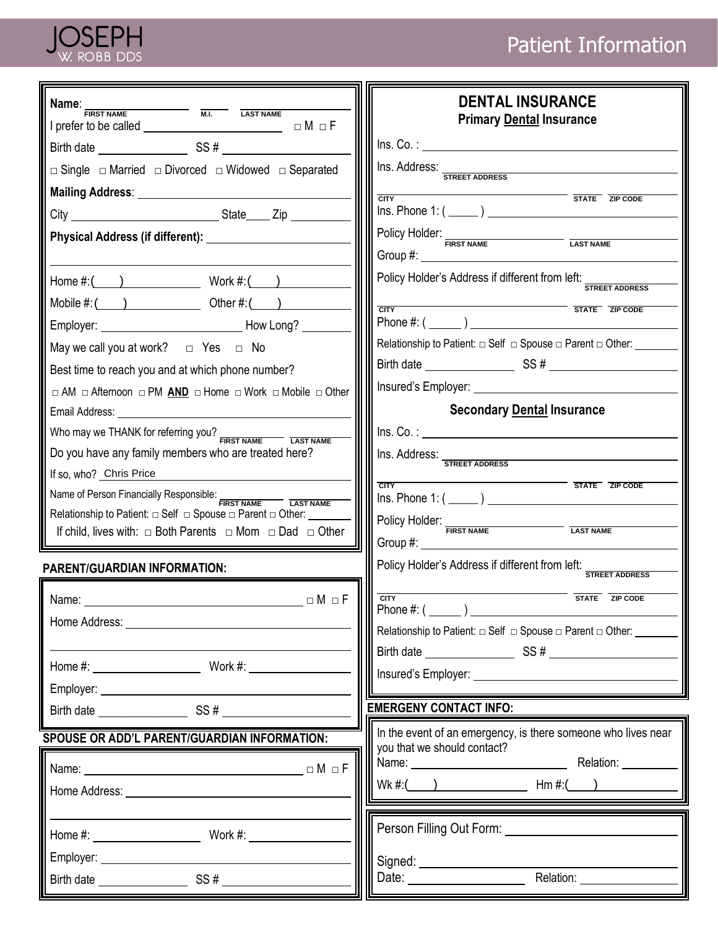

| Name:<br>M.I. LAST NAME<br><b>FIRST NAME</b>                                                                                                                          | <b>DENTAL INSURANCE</b><br><b>Primary Dental Insurance</b>                                                                                                                                                                                                     |
|-----------------------------------------------------------------------------------------------------------------------------------------------------------------------|----------------------------------------------------------------------------------------------------------------------------------------------------------------------------------------------------------------------------------------------------------------|
| Birth date SS #                                                                                                                                                       | Ins. Co.:                                                                                                                                                                                                                                                      |
| $\Box$ Single $\Box$ Married $\Box$ Divorced $\Box$ Widowed $\Box$ Separated                                                                                          | Ins. Address: STREET ADDRESS                                                                                                                                                                                                                                   |
|                                                                                                                                                                       | <b>CITY STATE ZIP CODE</b>                                                                                                                                                                                                                                     |
|                                                                                                                                                                       | $Ins.$ Phone 1: $(\_\_)$                                                                                                                                                                                                                                       |
|                                                                                                                                                                       | Policy Holder: FIRST NAME<br>Group $\#$ :<br>$\mathcal{L}_{\text{max}}$ and $\mathcal{L}_{\text{max}}$                                                                                                                                                         |
| Home $\#$ : $( )$ Work $\#$ : $( )$                                                                                                                                   | Policy Holder's Address if different from left:<br><b>STREET ADDRESS</b>                                                                                                                                                                                       |
| Mobile $\#$ : $($ $)$ Other $\#$ : $($ $)$                                                                                                                            | STATE ZIP CODE<br><b>CITY</b>                                                                                                                                                                                                                                  |
|                                                                                                                                                                       |                                                                                                                                                                                                                                                                |
| May we call you at work? $\Box$ Yes $\Box$ No                                                                                                                         | Relationship to Patient: $\Box$ Self $\Box$ Spouse $\Box$ Parent $\Box$ Other:                                                                                                                                                                                 |
| Best time to reach you and at which phone number?                                                                                                                     |                                                                                                                                                                                                                                                                |
| $\Box$ AM $\Box$ Afternoon $\Box$ PM AND $\Box$ Home $\Box$ Work $\Box$ Mobile $\Box$ Other                                                                           |                                                                                                                                                                                                                                                                |
| Email Address: North States and States                                                                                                                                | <b>Secondary Dental Insurance</b>                                                                                                                                                                                                                              |
| Who may we THANK for referring you?<br>FIRST NAME                                                                                                                     | $\ln S. Co.:$                                                                                                                                                                                                                                                  |
| Do you have any family members who are treated here?                                                                                                                  | Ins. Address: STREET ADDRESS                                                                                                                                                                                                                                   |
| If so, who? Chris Price                                                                                                                                               | <b>STATE</b> ZIP CODE<br><b>CITY</b>                                                                                                                                                                                                                           |
| Name of Person Financially Responsible: FIRST NAME                                                                                                                    | $Ins.$ Phone 1: $(\_\_)$                                                                                                                                                                                                                                       |
| Relationship to Patient: $\Box$ Self $\Box$ Spouse $\Box$ Parent $\Box$ Other: ______<br>If child, lives with: $\Box$ Both Parents $\Box$ Mom $\Box$ Dad $\Box$ Other | Policy Holder: FIRST NAME                                                                                                                                                                                                                                      |
|                                                                                                                                                                       |                                                                                                                                                                                                                                                                |
| <b>PARENT/GUARDIAN INFORMATION:</b>                                                                                                                                   | Policy Holder's Address if different from left: STREET ADDRESS                                                                                                                                                                                                 |
| $\Box M \Box F$<br>Name: ___________                                                                                                                                  | <b>CITY</b><br>STATE ZIP CODE                                                                                                                                                                                                                                  |
|                                                                                                                                                                       | Phone #: $(\_\_)$                                                                                                                                                                                                                                              |
|                                                                                                                                                                       | Relationship to Patient: $\Box$ Self $\Box$ Spouse $\Box$ Parent $\Box$ Other: _________                                                                                                                                                                       |
|                                                                                                                                                                       |                                                                                                                                                                                                                                                                |
|                                                                                                                                                                       |                                                                                                                                                                                                                                                                |
|                                                                                                                                                                       | <b>EMERGENY CONTACT INFO:</b>                                                                                                                                                                                                                                  |
| SPOUSE OR ADD'L PARENT/GUARDIAN INFORMATION:                                                                                                                          | In the event of an emergency, is there someone who lives near                                                                                                                                                                                                  |
|                                                                                                                                                                       | you that we should contact?                                                                                                                                                                                                                                    |
| $\Box M \Box F$                                                                                                                                                       | $Wk #:$ $Wk #:$ $Wk #:$ $Wk #:$ $Wk #:$ $Wk #:$ $Wk #:$ $Wk #:$ $Wk #:$ $Wk #:$ $Wk #:$ $Wk #:$ $Wk #:$ $Wk #:$ $Wk #:$ $Wk #:$ $Wk #:$ $Wk #:$ $Wk #:$ $Wk #:$ $Wk #:$ $Wk #:$ $Wk #:$ $Wk #:$ $Wk #:$ $Wk #:$ $Wk #:$ $Wk #:$ $Wk #:$ $Wk #:$ $Wk #:$ $Wk #$ |
|                                                                                                                                                                       |                                                                                                                                                                                                                                                                |
|                                                                                                                                                                       | Person Filling Out Form: Network of the Second Person Pilling Out Form:                                                                                                                                                                                        |
|                                                                                                                                                                       |                                                                                                                                                                                                                                                                |
|                                                                                                                                                                       |                                                                                                                                                                                                                                                                |
|                                                                                                                                                                       | Date: <u>Nelation:</u> Relation: Nelation:                                                                                                                                                                                                                     |